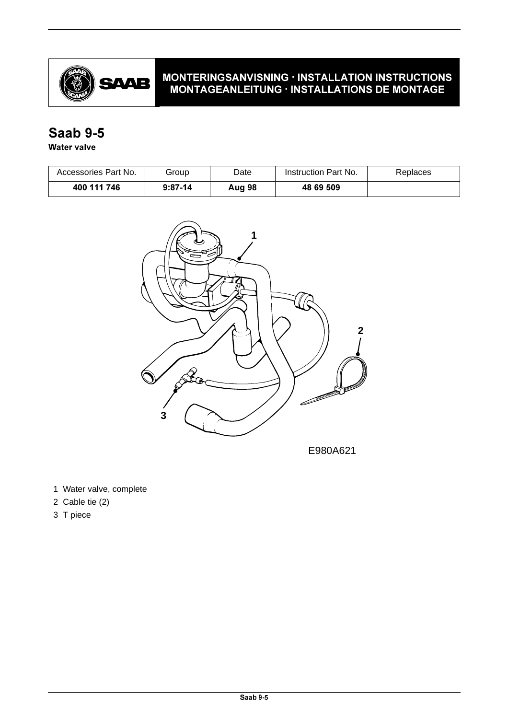

### MONTERINGSANVISNING · INSTALLATION INSTRUCTIONS MONTAGEANLEITUNG · INSTALLATIONS DE MONTAGE

# **Saab 9-5**

### **Water valve**

| Accessories Part No. | Group     | Date   | Instruction Part No. | Replaces |
|----------------------|-----------|--------|----------------------|----------|
| 400 111 746          | $9:87-14$ | Aug 98 | 48 69 509            |          |



E980A621

1 Water valve, complete

- 2 Cable tie (2)
- 3 T piece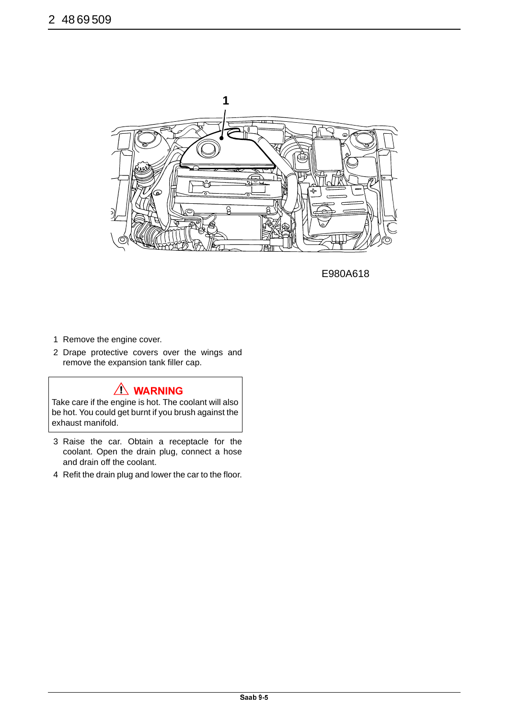

E980A618

- 1 Remove the engine cover.
- 2 Drape protective covers over the wings and remove the expansion tank filler cap.

## $\bigwedge$  WARNING

Take care if the engine is hot. The coolant will also be hot. You could get burnt if you brush against the exhaust manifold.

- 3 Raise the car. Obtain a receptacle for the coolant. Open the drain plug, connect a hose and drain off the coolant.
- 4 Refit the drain plug and lower the car to the floor.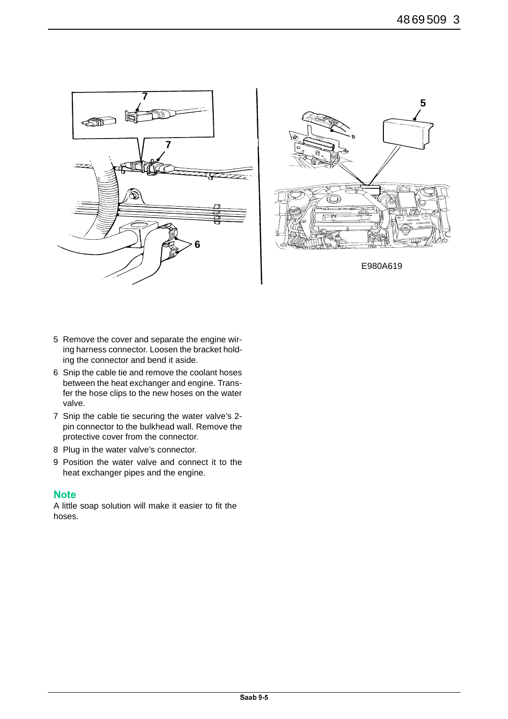



- 5 Remove the cover and separate the engine wiring harness connector. Loosen the bracket holding the connector and bend it aside.
- 6 Snip the cable tie and remove the coolant hoses between the heat exchanger and engine. Transfer the hose clips to the new hoses on the water valve.
- 7 Snip the cable tie securing the water valve's 2 pin connector to the bulkhead wall. Remove the protective cover from the connector.
- 8 Plug in the water valve's connector.
- 9 Position the water valve and connect it to the heat exchanger pipes and the engine.

### **Note**

A little soap solution will make it easier to fit the hoses.